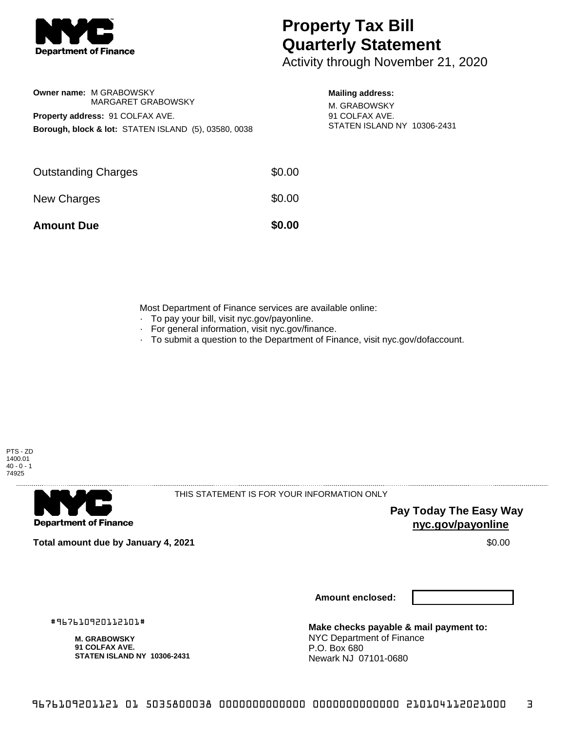

**Owner name:** M GRABOWSKY

**Property address:** 91 COLFAX AVE.

## **Property Tax Bill Quarterly Statement**

Activity through November 21, 2020

## **Mailing address:**

M. GRABOWSKY 91 COLFAX AVE. STATEN ISLAND NY 10306-2431

| <b>Amount Due</b>          | \$0.00 |
|----------------------------|--------|
| New Charges                | \$0.00 |
| <b>Outstanding Charges</b> | \$0.00 |

MARGARET GRABOWSKY

**Borough, block & lot:** STATEN ISLAND (5), 03580, 0038

Most Department of Finance services are available online:

- · To pay your bill, visit nyc.gov/payonline.
- For general information, visit nyc.gov/finance.
- · To submit a question to the Department of Finance, visit nyc.gov/dofaccount.





THIS STATEMENT IS FOR YOUR INFORMATION ONLY

**Pay Today The Easy Way nyc.gov/payonline**

**Total amount due by January 4, 2021** \$0.00

**Amount enclosed:**

#967610920112101#

**M. GRABOWSKY 91 COLFAX AVE. STATEN ISLAND NY 10306-2431**

**Make checks payable & mail payment to:** NYC Department of Finance P.O. Box 680 Newark NJ 07101-0680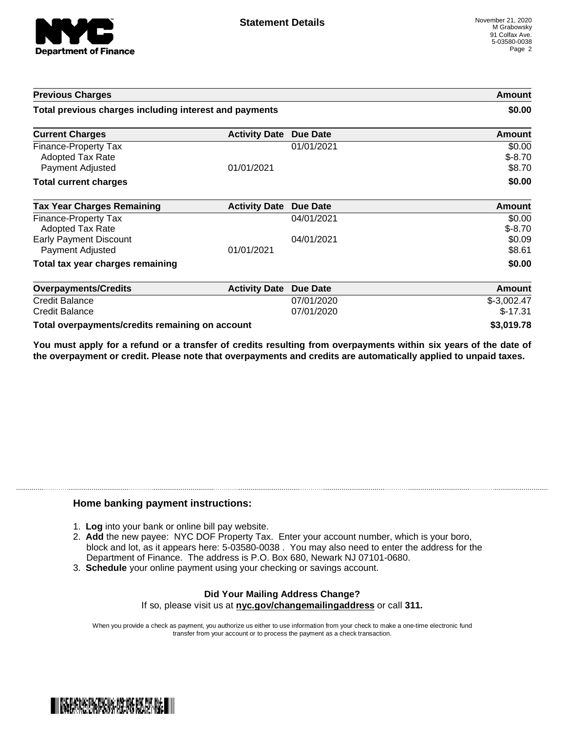

| <b>Previous Charges</b>                                      |                               | Amount<br>\$0.00         |                              |
|--------------------------------------------------------------|-------------------------------|--------------------------|------------------------------|
| Total previous charges including interest and payments       |                               |                          |                              |
| <b>Current Charges</b>                                       | <b>Activity Date Due Date</b> |                          | Amount                       |
| Finance-Property Tax<br>Adopted Tax Rate<br>Payment Adjusted | 01/01/2021                    | 01/01/2021               | \$0.00<br>$$-8.70$<br>\$8.70 |
| <b>Total current charges</b>                                 |                               |                          | \$0.00                       |
| <b>Tax Year Charges Remaining</b>                            | <b>Activity Date</b>          | <b>Due Date</b>          | <b>Amount</b>                |
| Finance-Property Tax<br><b>Adopted Tax Rate</b>              |                               | 04/01/2021               | \$0.00<br>$$-8.70$           |
| <b>Early Payment Discount</b><br>Payment Adjusted            | 01/01/2021                    | 04/01/2021               | \$0.09<br>\$8.61             |
| Total tax year charges remaining                             |                               |                          | \$0.00                       |
| <b>Overpayments/Credits</b>                                  | <b>Activity Date</b>          | <b>Due Date</b>          | Amount                       |
| <b>Credit Balance</b><br><b>Credit Balance</b>               |                               | 07/01/2020<br>07/01/2020 | $$-3,002.47$<br>$$-17.31$    |
| Total overpayments/credits remaining on account              |                               |                          | \$3,019.78                   |

You must apply for a refund or a transfer of credits resulting from overpayments within six years of the date of **the overpayment or credit. Please note that overpayments and credits are automatically applied to unpaid taxes.**

## **Home banking payment instructions:**

- 1. **Log** into your bank or online bill pay website.
- 2. **Add** the new payee: NYC DOF Property Tax. Enter your account number, which is your boro, block and lot, as it appears here: 5-03580-0038 . You may also need to enter the address for the Department of Finance. The address is P.O. Box 680, Newark NJ 07101-0680.
- 3. **Schedule** your online payment using your checking or savings account.

## **Did Your Mailing Address Change?** If so, please visit us at **nyc.gov/changemailingaddress** or call **311.**

When you provide a check as payment, you authorize us either to use information from your check to make a one-time electronic fund transfer from your account or to process the payment as a check transaction.